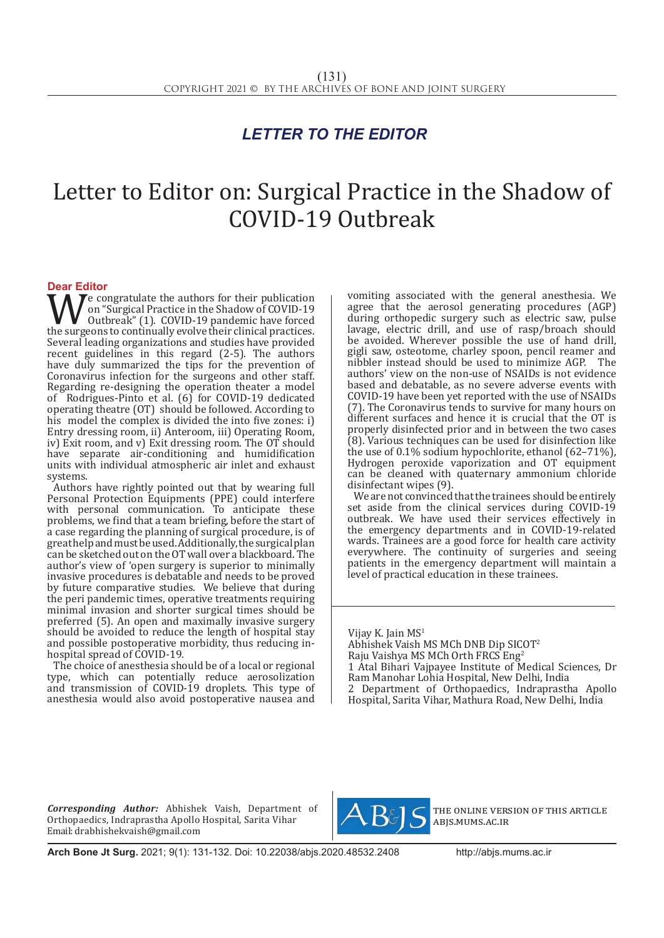## *LETTER TO THE EDITOR*

## Letter to Editor on: Surgical Practice in the Shadow of COVID-19 Outbreak

**Dear Editor**<br>**T A** *T* e congratulate the authors for their publication We congratulate the authors for their publication<br>
outbreak" (1). COVID-19 pandemic have forced<br>
the surgeons to continually evolve their clinical practices.<br>
Several leading organizations and studies have provided on "Surgical Practice in the Shadow of COVID-19 Outbreak" (1). COVID-19 pandemic have forced Several leading organizations and studies have provided recent guidelines in this regard (2-5). The authors have duly summarized the tips for the prevention of Coronavirus infection for the surgeons and other staff. Regarding re-designing the operation theater a model of Rodrigues-Pinto et al. (6) for COVID-19 dedicated operating theatre (OT) should be followed. According to his model the complex is divided the into five zones: i) Entry dressing room, ii) Anteroom, iii) Operating Room, iv) Exit room, and v) Exit dressing room. The OT should have separate air-conditioning and humidification units with individual atmospheric air inlet and exhaust systems.

Authors have rightly pointed out that by wearing full Personal Protection Equipments (PPE) could interfere with personal communication. To anticipate these problems, we find that a team briefing, before the start of a case regarding the planning of surgical procedure, is of great help and must be used. Additionally, the surgical plan can be sketched out on the OT wall over a blackboard. The author's view of 'open surgery is superior to minimally invasive procedures is debatable and needs to be proved by future comparative studies. We believe that during the peri pandemic times, operative treatments requiring minimal invasion and shorter surgical times should be preferred (5). An open and maximally invasive surgery should be avoided to reduce the length of hospital stay and possible postoperative morbidity, thus reducing inhospital spread of COVID-19.

The choice of anesthesia should be of a local or regional type, which can potentially reduce aerosolization and transmission of COVID-19 droplets. This type of anesthesia would also avoid postoperative nausea and vomiting associated with the general anesthesia. We agree that the aerosol generating procedures (AGP) during orthopedic surgery such as electric saw, pulse lavage, electric drill, and use of rasp/broach should be avoided. Wherever possible the use of hand drill, gigli saw, osteotome, charley spoon, pencil reamer and nibbler instead should be used to minimize AGP. The authors' view on the non-use of NSAIDs is not evidence based and debatable, as no severe adverse events with COVID-19 have been yet reported with the use of NSAIDs (7). The Coronavirus tends to survive for many hours on different surfaces and hence it is crucial that the OT is properly disinfected prior and in between the two cases (8). Various techniques can be used for disinfection like the use of 0.1% sodium hypochlorite, ethanol (62–71%), Hydrogen peroxide vaporization and OT equipment can be cleaned with quaternary ammonium chloride disinfectant wipes (9).

We are not convinced that the trainees should be entirely set aside from the clinical services during COVID-19 outbreak. We have used their services effectively in the emergency departments and in COVID-19-related wards. Trainees are a good force for health care activity everywhere. The continuity of surgeries and seeing patients in the emergency department will maintain a level of practical education in these trainees.

Vijay K. Jain MS<sup>1</sup>

Abhishek Vaish MS MCh DNB Dip SICOT2 Raju Vaishya MS MCh Orth FRCS Eng<sup>2</sup> 1 Atal Bihari Vajpayee Institute of Medical Sciences, Dr Ram Manohar Lohia Hospital, New Delhi, India 2 Department of Orthopaedics, Indraprastha Apollo Hospital, Sarita Vihar, Mathura Road, New Delhi, India

*Corresponding Author:* Abhishek Vaish, Department of Orthopaedics, Indraprastha Apollo Hospital, Sarita Vihar Email: drabhishekvaish@gmail.com



the online version of this article abjs.mums.ac.ir

**Arch Bone Jt Surg.** 2021; 9(1): 131-132. Doi: 10.22038/abjs.2020.48532.2408http://abjs.mums.ac.ir